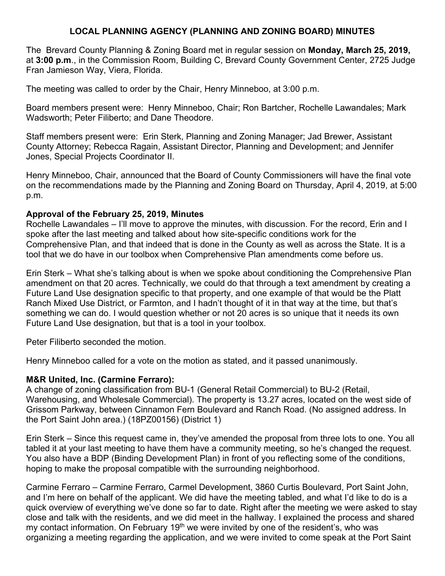## **LOCAL PLANNING AGENCY (PLANNING AND ZONING BOARD) MINUTES**

The Brevard County Planning & Zoning Board met in regular session on **Monday, March 25, 2019,**  at **3:00 p.m**., in the Commission Room, Building C, Brevard County Government Center, 2725 Judge Fran Jamieson Way, Viera, Florida.

The meeting was called to order by the Chair, Henry Minneboo, at 3:00 p.m.

Board members present were: Henry Minneboo, Chair; Ron Bartcher, Rochelle Lawandales; Mark Wadsworth; Peter Filiberto; and Dane Theodore.

Staff members present were: Erin Sterk, Planning and Zoning Manager; Jad Brewer, Assistant County Attorney; Rebecca Ragain, Assistant Director, Planning and Development; and Jennifer Jones, Special Projects Coordinator II.

Henry Minneboo, Chair, announced that the Board of County Commissioners will have the final vote on the recommendations made by the Planning and Zoning Board on Thursday, April 4, 2019, at 5:00 p.m.

## **Approval of the February 25, 2019, Minutes**

Rochelle Lawandales – I'll move to approve the minutes, with discussion. For the record, Erin and I spoke after the last meeting and talked about how site-specific conditions work for the Comprehensive Plan, and that indeed that is done in the County as well as across the State. It is a tool that we do have in our toolbox when Comprehensive Plan amendments come before us.

Erin Sterk – What she's talking about is when we spoke about conditioning the Comprehensive Plan amendment on that 20 acres. Technically, we could do that through a text amendment by creating a Future Land Use designation specific to that property, and one example of that would be the Platt Ranch Mixed Use District, or Farmton, and I hadn't thought of it in that way at the time, but that's something we can do. I would question whether or not 20 acres is so unique that it needs its own Future Land Use designation, but that is a tool in your toolbox.

Peter Filiberto seconded the motion.

Henry Minneboo called for a vote on the motion as stated, and it passed unanimously.

## **M&R United, Inc. (Carmine Ferraro):**

A change of zoning classification from BU-1 (General Retail Commercial) to BU-2 (Retail, Warehousing, and Wholesale Commercial). The property is 13.27 acres, located on the west side of Grissom Parkway, between Cinnamon Fern Boulevard and Ranch Road. (No assigned address. In the Port Saint John area.) (18PZ00156) (District 1)

Erin Sterk – Since this request came in, they've amended the proposal from three lots to one. You all tabled it at your last meeting to have them have a community meeting, so he's changed the request. You also have a BDP (Binding Development Plan) in front of you reflecting some of the conditions, hoping to make the proposal compatible with the surrounding neighborhood.

Carmine Ferraro – Carmine Ferraro, Carmel Development, 3860 Curtis Boulevard, Port Saint John, and I'm here on behalf of the applicant. We did have the meeting tabled, and what I'd like to do is a quick overview of everything we've done so far to date. Right after the meeting we were asked to stay close and talk with the residents, and we did meet in the hallway. I explained the process and shared my contact information. On February 19<sup>th</sup> we were invited by one of the resident's, who was organizing a meeting regarding the application, and we were invited to come speak at the Port Saint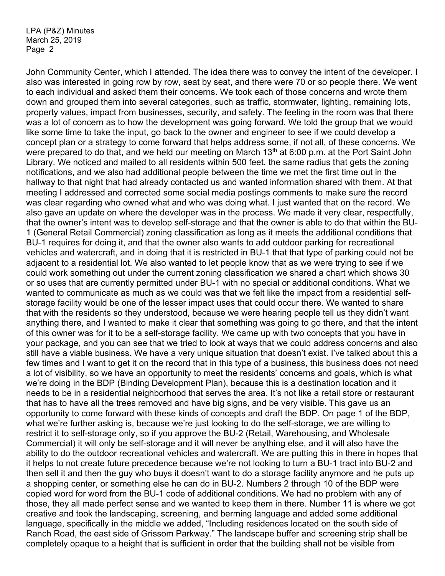John Community Center, which I attended. The idea there was to convey the intent of the developer. I also was interested in going row by row, seat by seat, and there were 70 or so people there. We went to each individual and asked them their concerns. We took each of those concerns and wrote them down and grouped them into several categories, such as traffic, stormwater, lighting, remaining lots, property values, impact from businesses, security, and safety. The feeling in the room was that there was a lot of concern as to how the development was going forward. We told the group that we would like some time to take the input, go back to the owner and engineer to see if we could develop a concept plan or a strategy to come forward that helps address some, if not all, of these concerns. We were prepared to do that, and we held our meeting on March 13<sup>th</sup> at 6:00 p.m. at the Port Saint John Library. We noticed and mailed to all residents within 500 feet, the same radius that gets the zoning notifications, and we also had additional people between the time we met the first time out in the hallway to that night that had already contacted us and wanted information shared with them. At that meeting I addressed and corrected some social media postings comments to make sure the record was clear regarding who owned what and who was doing what. I just wanted that on the record. We also gave an update on where the developer was in the process. We made it very clear, respectfully, that the owner's intent was to develop self-storage and that the owner is able to do that within the BU-1 (General Retail Commercial) zoning classification as long as it meets the additional conditions that BU-1 requires for doing it, and that the owner also wants to add outdoor parking for recreational vehicles and watercraft, and in doing that it is restricted in BU-1 that that type of parking could not be adjacent to a residential lot. We also wanted to let people know that as we were trying to see if we could work something out under the current zoning classification we shared a chart which shows 30 or so uses that are currently permitted under BU-1 with no special or additional conditions. What we wanted to communicate as much as we could was that we felt like the impact from a residential selfstorage facility would be one of the lesser impact uses that could occur there. We wanted to share that with the residents so they understood, because we were hearing people tell us they didn't want anything there, and I wanted to make it clear that something was going to go there, and that the intent of this owner was for it to be a self-storage facility. We came up with two concepts that you have in your package, and you can see that we tried to look at ways that we could address concerns and also still have a viable business. We have a very unique situation that doesn't exist. I've talked about this a few times and I want to get it on the record that in this type of a business, this business does not need a lot of visibility, so we have an opportunity to meet the residents' concerns and goals, which is what we're doing in the BDP (Binding Development Plan), because this is a destination location and it needs to be in a residential neighborhood that serves the area. It's not like a retail store or restaurant that has to have all the trees removed and have big signs, and be very visible. This gave us an opportunity to come forward with these kinds of concepts and draft the BDP. On page 1 of the BDP, what we're further asking is, because we're just looking to do the self-storage, we are willing to restrict it to self-storage only, so if you approve the BU-2 (Retail, Warehousing, and Wholesale Commercial) it will only be self-storage and it will never be anything else, and it will also have the ability to do the outdoor recreational vehicles and watercraft. We are putting this in there in hopes that it helps to not create future precedence because we're not looking to turn a BU-1 tract into BU-2 and then sell it and then the guy who buys it doesn't want to do a storage facility anymore and he puts up a shopping center, or something else he can do in BU-2. Numbers 2 through 10 of the BDP were copied word for word from the BU-1 code of additional conditions. We had no problem with any of those, they all made perfect sense and we wanted to keep them in there. Number 11 is where we got creative and took the landscaping, screening, and berming language and added some additional language, specifically in the middle we added, "Including residences located on the south side of Ranch Road, the east side of Grissom Parkway." The landscape buffer and screening strip shall be completely opaque to a height that is sufficient in order that the building shall not be visible from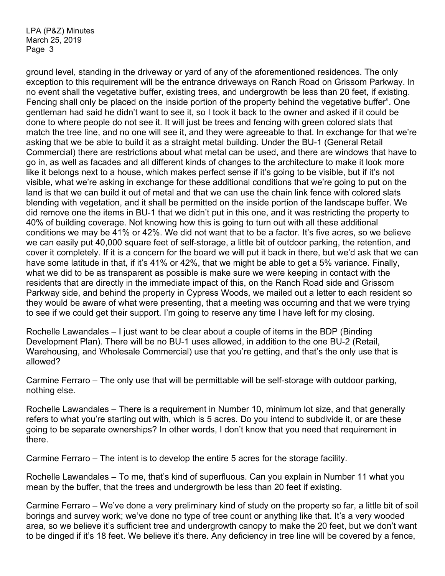ground level, standing in the driveway or yard of any of the aforementioned residences. The only exception to this requirement will be the entrance driveways on Ranch Road on Grissom Parkway. In no event shall the vegetative buffer, existing trees, and undergrowth be less than 20 feet, if existing. Fencing shall only be placed on the inside portion of the property behind the vegetative buffer". One gentleman had said he didn't want to see it, so I took it back to the owner and asked if it could be done to where people do not see it. It will just be trees and fencing with green colored slats that match the tree line, and no one will see it, and they were agreeable to that. In exchange for that we're asking that we be able to build it as a straight metal building. Under the BU-1 (General Retail Commercial) there are restrictions about what metal can be used, and there are windows that have to go in, as well as facades and all different kinds of changes to the architecture to make it look more like it belongs next to a house, which makes perfect sense if it's going to be visible, but if it's not visible, what we're asking in exchange for these additional conditions that we're going to put on the land is that we can build it out of metal and that we can use the chain link fence with colored slats blending with vegetation, and it shall be permitted on the inside portion of the landscape buffer. We did remove one the items in BU-1 that we didn't put in this one, and it was restricting the property to 40% of building coverage. Not knowing how this is going to turn out with all these additional conditions we may be 41% or 42%. We did not want that to be a factor. It's five acres, so we believe we can easily put 40,000 square feet of self-storage, a little bit of outdoor parking, the retention, and cover it completely. If it is a concern for the board we will put it back in there, but we'd ask that we can have some latitude in that, if it's 41% or 42%, that we might be able to get a 5% variance. Finally, what we did to be as transparent as possible is make sure we were keeping in contact with the residents that are directly in the immediate impact of this, on the Ranch Road side and Grissom Parkway side, and behind the property in Cypress Woods, we mailed out a letter to each resident so they would be aware of what were presenting, that a meeting was occurring and that we were trying to see if we could get their support. I'm going to reserve any time I have left for my closing.

Rochelle Lawandales – I just want to be clear about a couple of items in the BDP (Binding Development Plan). There will be no BU-1 uses allowed, in addition to the one BU-2 (Retail, Warehousing, and Wholesale Commercial) use that you're getting, and that's the only use that is allowed?

Carmine Ferraro – The only use that will be permittable will be self-storage with outdoor parking, nothing else.

Rochelle Lawandales – There is a requirement in Number 10, minimum lot size, and that generally refers to what you're starting out with, which is 5 acres. Do you intend to subdivide it, or are these going to be separate ownerships? In other words, I don't know that you need that requirement in there.

Carmine Ferraro – The intent is to develop the entire 5 acres for the storage facility.

Rochelle Lawandales – To me, that's kind of superfluous. Can you explain in Number 11 what you mean by the buffer, that the trees and undergrowth be less than 20 feet if existing.

Carmine Ferraro – We've done a very preliminary kind of study on the property so far, a little bit of soil borings and survey work; we've done no type of tree count or anything like that. It's a very wooded area, so we believe it's sufficient tree and undergrowth canopy to make the 20 feet, but we don't want to be dinged if it's 18 feet. We believe it's there. Any deficiency in tree line will be covered by a fence,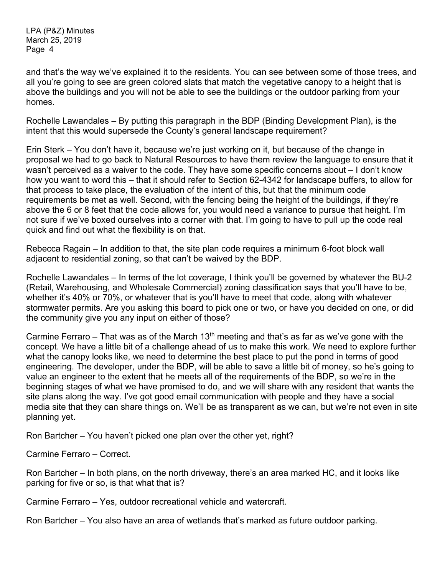and that's the way we've explained it to the residents. You can see between some of those trees, and all you're going to see are green colored slats that match the vegetative canopy to a height that is above the buildings and you will not be able to see the buildings or the outdoor parking from your homes.

Rochelle Lawandales – By putting this paragraph in the BDP (Binding Development Plan), is the intent that this would supersede the County's general landscape requirement?

Erin Sterk – You don't have it, because we're just working on it, but because of the change in proposal we had to go back to Natural Resources to have them review the language to ensure that it wasn't perceived as a waiver to the code. They have some specific concerns about – I don't know how you want to word this – that it should refer to Section 62-4342 for landscape buffers, to allow for that process to take place, the evaluation of the intent of this, but that the minimum code requirements be met as well. Second, with the fencing being the height of the buildings, if they're above the 6 or 8 feet that the code allows for, you would need a variance to pursue that height. I'm not sure if we've boxed ourselves into a corner with that. I'm going to have to pull up the code real quick and find out what the flexibility is on that.

Rebecca Ragain – In addition to that, the site plan code requires a minimum 6-foot block wall adjacent to residential zoning, so that can't be waived by the BDP.

Rochelle Lawandales – In terms of the lot coverage, I think you'll be governed by whatever the BU-2 (Retail, Warehousing, and Wholesale Commercial) zoning classification says that you'll have to be, whether it's 40% or 70%, or whatever that is you'll have to meet that code, along with whatever stormwater permits. Are you asking this board to pick one or two, or have you decided on one, or did the community give you any input on either of those?

Carmine Ferraro – That was as of the March 13<sup>th</sup> meeting and that's as far as we've gone with the concept. We have a little bit of a challenge ahead of us to make this work. We need to explore further what the canopy looks like, we need to determine the best place to put the pond in terms of good engineering. The developer, under the BDP, will be able to save a little bit of money, so he's going to value an engineer to the extent that he meets all of the requirements of the BDP, so we're in the beginning stages of what we have promised to do, and we will share with any resident that wants the site plans along the way. I've got good email communication with people and they have a social media site that they can share things on. We'll be as transparent as we can, but we're not even in site planning yet.

Ron Bartcher – You haven't picked one plan over the other yet, right?

Carmine Ferraro – Correct.

Ron Bartcher – In both plans, on the north driveway, there's an area marked HC, and it looks like parking for five or so, is that what that is?

Carmine Ferraro – Yes, outdoor recreational vehicle and watercraft.

Ron Bartcher – You also have an area of wetlands that's marked as future outdoor parking.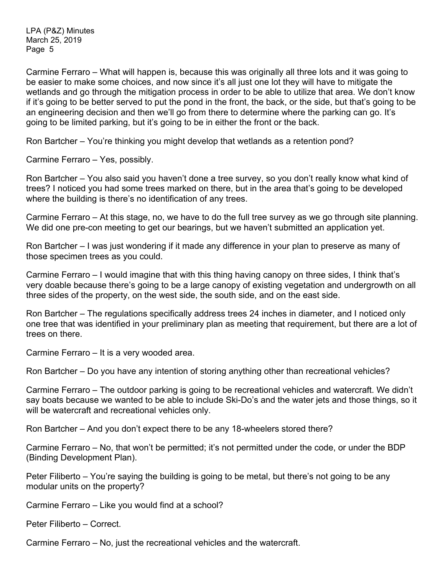Carmine Ferraro – What will happen is, because this was originally all three lots and it was going to be easier to make some choices, and now since it's all just one lot they will have to mitigate the wetlands and go through the mitigation process in order to be able to utilize that area. We don't know if it's going to be better served to put the pond in the front, the back, or the side, but that's going to be an engineering decision and then we'll go from there to determine where the parking can go. It's going to be limited parking, but it's going to be in either the front or the back.

Ron Bartcher – You're thinking you might develop that wetlands as a retention pond?

Carmine Ferraro – Yes, possibly.

Ron Bartcher – You also said you haven't done a tree survey, so you don't really know what kind of trees? I noticed you had some trees marked on there, but in the area that's going to be developed where the building is there's no identification of any trees.

Carmine Ferraro – At this stage, no, we have to do the full tree survey as we go through site planning. We did one pre-con meeting to get our bearings, but we haven't submitted an application yet.

Ron Bartcher – I was just wondering if it made any difference in your plan to preserve as many of those specimen trees as you could.

Carmine Ferraro – I would imagine that with this thing having canopy on three sides, I think that's very doable because there's going to be a large canopy of existing vegetation and undergrowth on all three sides of the property, on the west side, the south side, and on the east side.

Ron Bartcher – The regulations specifically address trees 24 inches in diameter, and I noticed only one tree that was identified in your preliminary plan as meeting that requirement, but there are a lot of trees on there.

Carmine Ferraro – It is a very wooded area.

Ron Bartcher – Do you have any intention of storing anything other than recreational vehicles?

Carmine Ferraro – The outdoor parking is going to be recreational vehicles and watercraft. We didn't say boats because we wanted to be able to include Ski-Do's and the water jets and those things, so it will be watercraft and recreational vehicles only.

Ron Bartcher – And you don't expect there to be any 18-wheelers stored there?

Carmine Ferraro – No, that won't be permitted; it's not permitted under the code, or under the BDP (Binding Development Plan).

Peter Filiberto – You're saying the building is going to be metal, but there's not going to be any modular units on the property?

Carmine Ferraro – Like you would find at a school?

Peter Filiberto – Correct.

Carmine Ferraro – No, just the recreational vehicles and the watercraft.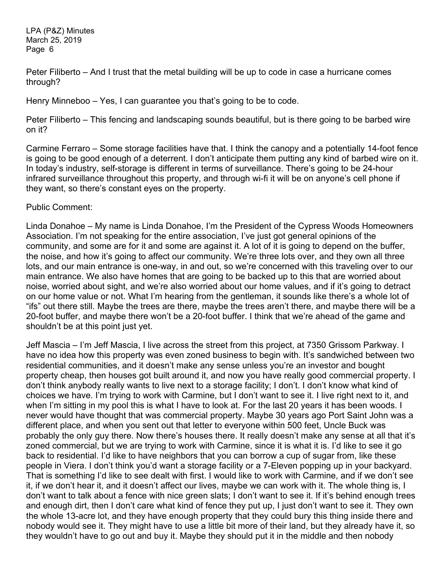Peter Filiberto – And I trust that the metal building will be up to code in case a hurricane comes through?

Henry Minneboo – Yes, I can guarantee you that's going to be to code.

Peter Filiberto – This fencing and landscaping sounds beautiful, but is there going to be barbed wire on it?

Carmine Ferraro – Some storage facilities have that. I think the canopy and a potentially 14-foot fence is going to be good enough of a deterrent. I don't anticipate them putting any kind of barbed wire on it. In today's industry, self-storage is different in terms of surveillance. There's going to be 24-hour infrared surveillance throughout this property, and through wi-fi it will be on anyone's cell phone if they want, so there's constant eyes on the property.

Public Comment:

Linda Donahoe – My name is Linda Donahoe, I'm the President of the Cypress Woods Homeowners Association. I'm not speaking for the entire association, I've just got general opinions of the community, and some are for it and some are against it. A lot of it is going to depend on the buffer, the noise, and how it's going to affect our community. We're three lots over, and they own all three lots, and our main entrance is one-way, in and out, so we're concerned with this traveling over to our main entrance. We also have homes that are going to be backed up to this that are worried about noise, worried about sight, and we're also worried about our home values, and if it's going to detract on our home value or not. What I'm hearing from the gentleman, it sounds like there's a whole lot of "ifs" out there still. Maybe the trees are there, maybe the trees aren't there, and maybe there will be a 20-foot buffer, and maybe there won't be a 20-foot buffer. I think that we're ahead of the game and shouldn't be at this point just yet.

Jeff Mascia – I'm Jeff Mascia, I live across the street from this project, at 7350 Grissom Parkway. I have no idea how this property was even zoned business to begin with. It's sandwiched between two residential communities, and it doesn't make any sense unless you're an investor and bought property cheap, then houses got built around it, and now you have really good commercial property. I don't think anybody really wants to live next to a storage facility; I don't. I don't know what kind of choices we have. I'm trying to work with Carmine, but I don't want to see it. I live right next to it, and when I'm sitting in my pool this is what I have to look at. For the last 20 years it has been woods. I never would have thought that was commercial property. Maybe 30 years ago Port Saint John was a different place, and when you sent out that letter to everyone within 500 feet, Uncle Buck was probably the only guy there. Now there's houses there. It really doesn't make any sense at all that it's zoned commercial, but we are trying to work with Carmine, since it is what it is. I'd like to see it go back to residential. I'd like to have neighbors that you can borrow a cup of sugar from, like these people in Viera. I don't think you'd want a storage facility or a 7-Eleven popping up in your backyard. That is something I'd like to see dealt with first. I would like to work with Carmine, and if we don't see it, if we don't hear it, and it doesn't affect our lives, maybe we can work with it. The whole thing is, I don't want to talk about a fence with nice green slats; I don't want to see it. If it's behind enough trees and enough dirt, then I don't care what kind of fence they put up, I just don't want to see it. They own the whole 13-acre lot, and they have enough property that they could bury this thing inside there and nobody would see it. They might have to use a little bit more of their land, but they already have it, so they wouldn't have to go out and buy it. Maybe they should put it in the middle and then nobody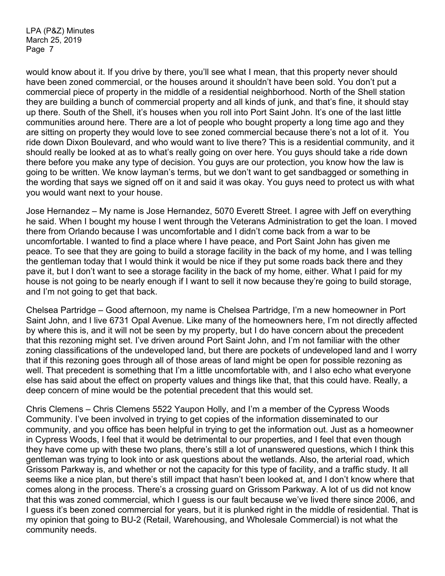would know about it. If you drive by there, you'll see what I mean, that this property never should have been zoned commercial, or the houses around it shouldn't have been sold. You don't put a commercial piece of property in the middle of a residential neighborhood. North of the Shell station they are building a bunch of commercial property and all kinds of junk, and that's fine, it should stay up there. South of the Shell, it's houses when you roll into Port Saint John. It's one of the last little communities around here. There are a lot of people who bought property a long time ago and they are sitting on property they would love to see zoned commercial because there's not a lot of it. You ride down Dixon Boulevard, and who would want to live there? This is a residential community, and it should really be looked at as to what's really going on over here. You guys should take a ride down there before you make any type of decision. You guys are our protection, you know how the law is going to be written. We know layman's terms, but we don't want to get sandbagged or something in the wording that says we signed off on it and said it was okay. You guys need to protect us with what you would want next to your house.

Jose Hernandez – My name is Jose Hernandez, 5070 Everett Street. I agree with Jeff on everything he said. When I bought my house I went through the Veterans Administration to get the loan. I moved there from Orlando because I was uncomfortable and I didn't come back from a war to be uncomfortable. I wanted to find a place where I have peace, and Port Saint John has given me peace. To see that they are going to build a storage facility in the back of my home, and I was telling the gentleman today that I would think it would be nice if they put some roads back there and they pave it, but I don't want to see a storage facility in the back of my home, either. What I paid for my house is not going to be nearly enough if I want to sell it now because they're going to build storage, and I'm not going to get that back.

Chelsea Partridge – Good afternoon, my name is Chelsea Partridge, I'm a new homeowner in Port Saint John, and I live 6731 Opal Avenue. Like many of the homeowners here, I'm not directly affected by where this is, and it will not be seen by my property, but I do have concern about the precedent that this rezoning might set. I've driven around Port Saint John, and I'm not familiar with the other zoning classifications of the undeveloped land, but there are pockets of undeveloped land and I worry that if this rezoning goes through all of those areas of land might be open for possible rezoning as well. That precedent is something that I'm a little uncomfortable with, and I also echo what everyone else has said about the effect on property values and things like that, that this could have. Really, a deep concern of mine would be the potential precedent that this would set.

Chris Clemens – Chris Clemens 5522 Yaupon Holly, and I'm a member of the Cypress Woods Community. I've been involved in trying to get copies of the information disseminated to our community, and you office has been helpful in trying to get the information out. Just as a homeowner in Cypress Woods, I feel that it would be detrimental to our properties, and I feel that even though they have come up with these two plans, there's still a lot of unanswered questions, which I think this gentleman was trying to look into or ask questions about the wetlands. Also, the arterial road, which Grissom Parkway is, and whether or not the capacity for this type of facility, and a traffic study. It all seems like a nice plan, but there's still impact that hasn't been looked at, and I don't know where that comes along in the process. There's a crossing guard on Grissom Parkway. A lot of us did not know that this was zoned commercial, which I guess is our fault because we've lived there since 2006, and I guess it's been zoned commercial for years, but it is plunked right in the middle of residential. That is my opinion that going to BU-2 (Retail, Warehousing, and Wholesale Commercial) is not what the community needs.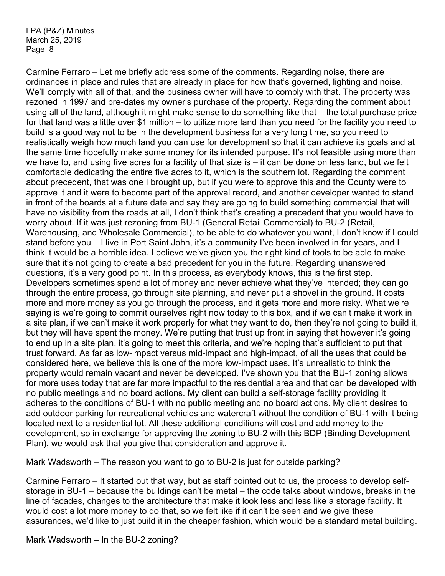Carmine Ferraro – Let me briefly address some of the comments. Regarding noise, there are ordinances in place and rules that are already in place for how that's governed, lighting and noise. We'll comply with all of that, and the business owner will have to comply with that. The property was rezoned in 1997 and pre-dates my owner's purchase of the property. Regarding the comment about using all of the land, although it might make sense to do something like that – the total purchase price for that land was a little over \$1 million – to utilize more land than you need for the facility you need to build is a good way not to be in the development business for a very long time, so you need to realistically weigh how much land you can use for development so that it can achieve its goals and at the same time hopefully make some money for its intended purpose. It's not feasible using more than we have to, and using five acres for a facility of that size is – it can be done on less land, but we felt comfortable dedicating the entire five acres to it, which is the southern lot. Regarding the comment about precedent, that was one I brought up, but if you were to approve this and the County were to approve it and it were to become part of the approval record, and another developer wanted to stand in front of the boards at a future date and say they are going to build something commercial that will have no visibility from the roads at all, I don't think that's creating a precedent that you would have to worry about. If it was just rezoning from BU-1 (General Retail Commercial) to BU-2 (Retail, Warehousing, and Wholesale Commercial), to be able to do whatever you want, I don't know if I could stand before you – I live in Port Saint John, it's a community I've been involved in for years, and I think it would be a horrible idea. I believe we've given you the right kind of tools to be able to make sure that it's not going to create a bad precedent for you in the future. Regarding unanswered questions, it's a very good point. In this process, as everybody knows, this is the first step. Developers sometimes spend a lot of money and never achieve what they've intended; they can go through the entire process, go through site planning, and never put a shovel in the ground. It costs more and more money as you go through the process, and it gets more and more risky. What we're saying is we're going to commit ourselves right now today to this box, and if we can't make it work in a site plan, if we can't make it work properly for what they want to do, then they're not going to build it, but they will have spent the money. We're putting that trust up front in saying that however it's going to end up in a site plan, it's going to meet this criteria, and we're hoping that's sufficient to put that trust forward. As far as low-impact versus mid-impact and high-impact, of all the uses that could be considered here, we believe this is one of the more low-impact uses. It's unrealistic to think the property would remain vacant and never be developed. I've shown you that the BU-1 zoning allows for more uses today that are far more impactful to the residential area and that can be developed with no public meetings and no board actions. My client can build a self-storage facility providing it adheres to the conditions of BU-1 with no public meeting and no board actions. My client desires to add outdoor parking for recreational vehicles and watercraft without the condition of BU-1 with it being located next to a residential lot. All these additional conditions will cost and add money to the development, so in exchange for approving the zoning to BU-2 with this BDP (Binding Development Plan), we would ask that you give that consideration and approve it.

Mark Wadsworth – The reason you want to go to BU-2 is just for outside parking?

Carmine Ferraro – It started out that way, but as staff pointed out to us, the process to develop selfstorage in BU-1 – because the buildings can't be metal – the code talks about windows, breaks in the line of facades, changes to the architecture that make it look less and less like a storage facility. It would cost a lot more money to do that, so we felt like if it can't be seen and we give these assurances, we'd like to just build it in the cheaper fashion, which would be a standard metal building.

Mark Wadsworth – In the BU-2 zoning?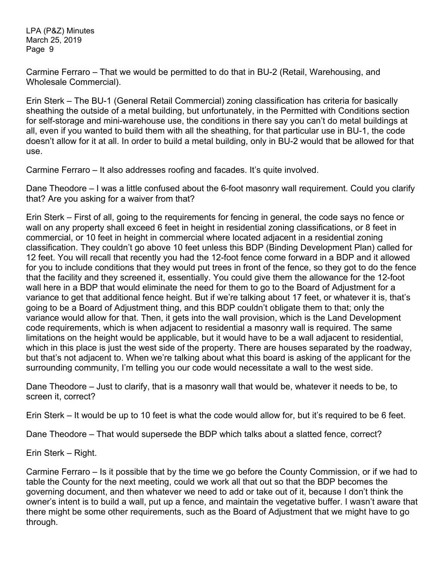Carmine Ferraro – That we would be permitted to do that in BU-2 (Retail, Warehousing, and Wholesale Commercial).

Erin Sterk – The BU-1 (General Retail Commercial) zoning classification has criteria for basically sheathing the outside of a metal building, but unfortunately, in the Permitted with Conditions section for self-storage and mini-warehouse use, the conditions in there say you can't do metal buildings at all, even if you wanted to build them with all the sheathing, for that particular use in BU-1, the code doesn't allow for it at all. In order to build a metal building, only in BU-2 would that be allowed for that use.

Carmine Ferraro – It also addresses roofing and facades. It's quite involved.

Dane Theodore – I was a little confused about the 6-foot masonry wall requirement. Could you clarify that? Are you asking for a waiver from that?

Erin Sterk – First of all, going to the requirements for fencing in general, the code says no fence or wall on any property shall exceed 6 feet in height in residential zoning classifications, or 8 feet in commercial, or 10 feet in height in commercial where located adjacent in a residential zoning classification. They couldn't go above 10 feet unless this BDP (Binding Development Plan) called for 12 feet. You will recall that recently you had the 12-foot fence come forward in a BDP and it allowed for you to include conditions that they would put trees in front of the fence, so they got to do the fence that the facility and they screened it, essentially. You could give them the allowance for the 12-foot wall here in a BDP that would eliminate the need for them to go to the Board of Adjustment for a variance to get that additional fence height. But if we're talking about 17 feet, or whatever it is, that's going to be a Board of Adjustment thing, and this BDP couldn't obligate them to that; only the variance would allow for that. Then, it gets into the wall provision, which is the Land Development code requirements, which is when adjacent to residential a masonry wall is required. The same limitations on the height would be applicable, but it would have to be a wall adjacent to residential, which in this place is just the west side of the property. There are houses separated by the roadway, but that's not adjacent to. When we're talking about what this board is asking of the applicant for the surrounding community, I'm telling you our code would necessitate a wall to the west side.

Dane Theodore – Just to clarify, that is a masonry wall that would be, whatever it needs to be, to screen it, correct?

Erin Sterk – It would be up to 10 feet is what the code would allow for, but it's required to be 6 feet.

Dane Theodore – That would supersede the BDP which talks about a slatted fence, correct?

Erin Sterk – Right.

Carmine Ferraro – Is it possible that by the time we go before the County Commission, or if we had to table the County for the next meeting, could we work all that out so that the BDP becomes the governing document, and then whatever we need to add or take out of it, because I don't think the owner's intent is to build a wall, put up a fence, and maintain the vegetative buffer. I wasn't aware that there might be some other requirements, such as the Board of Adjustment that we might have to go through.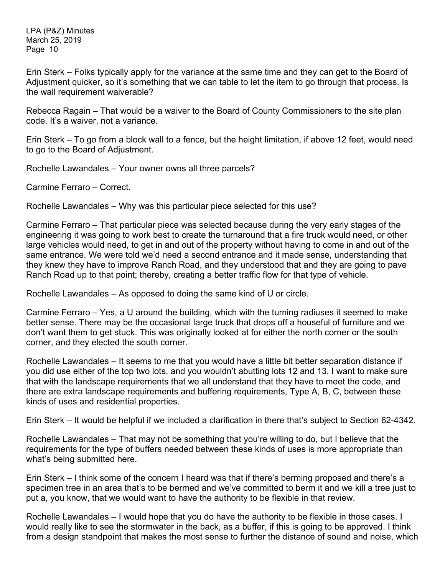Erin Sterk – Folks typically apply for the variance at the same time and they can get to the Board of Adjustment quicker, so it's something that we can table to let the item to go through that process. Is the wall requirement waiverable?

Rebecca Ragain – That would be a waiver to the Board of County Commissioners to the site plan code. It's a waiver, not a variance.

Erin Sterk – To go from a block wall to a fence, but the height limitation, if above 12 feet, would need to go to the Board of Adjustment.

Rochelle Lawandales – Your owner owns all three parcels?

Carmine Ferraro – Correct.

Rochelle Lawandales – Why was this particular piece selected for this use?

Carmine Ferraro – That particular piece was selected because during the very early stages of the engineering it was going to work best to create the turnaround that a fire truck would need, or other large vehicles would need, to get in and out of the property without having to come in and out of the same entrance. We were told we'd need a second entrance and it made sense, understanding that they knew they have to improve Ranch Road, and they understood that and they are going to pave Ranch Road up to that point; thereby, creating a better traffic flow for that type of vehicle.

Rochelle Lawandales – As opposed to doing the same kind of U or circle.

Carmine Ferraro – Yes, a U around the building, which with the turning radiuses it seemed to make better sense. There may be the occasional large truck that drops off a houseful of furniture and we don't want them to get stuck. This was originally looked at for either the north corner or the south corner, and they elected the south corner.

Rochelle Lawandales – It seems to me that you would have a little bit better separation distance if you did use either of the top two lots, and you wouldn't abutting lots 12 and 13. I want to make sure that with the landscape requirements that we all understand that they have to meet the code, and there are extra landscape requirements and buffering requirements, Type A, B, C, between these kinds of uses and residential properties.

Erin Sterk – It would be helpful if we included a clarification in there that's subject to Section 62-4342.

Rochelle Lawandales – That may not be something that you're willing to do, but I believe that the requirements for the type of buffers needed between these kinds of uses is more appropriate than what's being submitted here.

Erin Sterk – I think some of the concern I heard was that if there's berming proposed and there's a specimen tree in an area that's to be bermed and we've committed to berm it and we kill a tree just to put a, you know, that we would want to have the authority to be flexible in that review.

Rochelle Lawandales – I would hope that you do have the authority to be flexible in those cases. I would really like to see the stormwater in the back, as a buffer, if this is going to be approved. I think from a design standpoint that makes the most sense to further the distance of sound and noise, which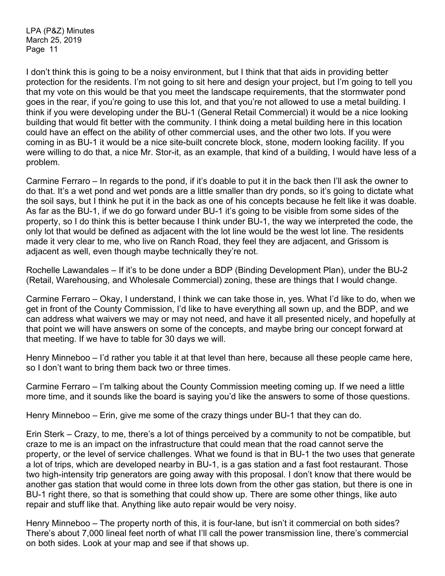I don't think this is going to be a noisy environment, but I think that that aids in providing better protection for the residents. I'm not going to sit here and design your project, but I'm going to tell you that my vote on this would be that you meet the landscape requirements, that the stormwater pond goes in the rear, if you're going to use this lot, and that you're not allowed to use a metal building. I think if you were developing under the BU-1 (General Retail Commercial) it would be a nice looking building that would fit better with the community. I think doing a metal building here in this location could have an effect on the ability of other commercial uses, and the other two lots. If you were coming in as BU-1 it would be a nice site-built concrete block, stone, modern looking facility. If you were willing to do that, a nice Mr. Stor-it, as an example, that kind of a building, I would have less of a problem.

Carmine Ferraro – In regards to the pond, if it's doable to put it in the back then I'll ask the owner to do that. It's a wet pond and wet ponds are a little smaller than dry ponds, so it's going to dictate what the soil says, but I think he put it in the back as one of his concepts because he felt like it was doable. As far as the BU-1, if we do go forward under BU-1 it's going to be visible from some sides of the property, so I do think this is better because I think under BU-1, the way we interpreted the code, the only lot that would be defined as adjacent with the lot line would be the west lot line. The residents made it very clear to me, who live on Ranch Road, they feel they are adjacent, and Grissom is adjacent as well, even though maybe technically they're not.

Rochelle Lawandales – If it's to be done under a BDP (Binding Development Plan), under the BU-2 (Retail, Warehousing, and Wholesale Commercial) zoning, these are things that I would change.

Carmine Ferraro – Okay, I understand, I think we can take those in, yes. What I'd like to do, when we get in front of the County Commission, I'd like to have everything all sown up, and the BDP, and we can address what waivers we may or may not need, and have it all presented nicely, and hopefully at that point we will have answers on some of the concepts, and maybe bring our concept forward at that meeting. If we have to table for 30 days we will.

Henry Minneboo – I'd rather you table it at that level than here, because all these people came here, so I don't want to bring them back two or three times.

Carmine Ferraro – I'm talking about the County Commission meeting coming up. If we need a little more time, and it sounds like the board is saying you'd like the answers to some of those questions.

Henry Minneboo – Erin, give me some of the crazy things under BU-1 that they can do.

Erin Sterk – Crazy, to me, there's a lot of things perceived by a community to not be compatible, but craze to me is an impact on the infrastructure that could mean that the road cannot serve the property, or the level of service challenges. What we found is that in BU-1 the two uses that generate a lot of trips, which are developed nearby in BU-1, is a gas station and a fast foot restaurant. Those two high-intensity trip generators are going away with this proposal. I don't know that there would be another gas station that would come in three lots down from the other gas station, but there is one in BU-1 right there, so that is something that could show up. There are some other things, like auto repair and stuff like that. Anything like auto repair would be very noisy.

Henry Minneboo – The property north of this, it is four-lane, but isn't it commercial on both sides? There's about 7,000 lineal feet north of what I'll call the power transmission line, there's commercial on both sides. Look at your map and see if that shows up.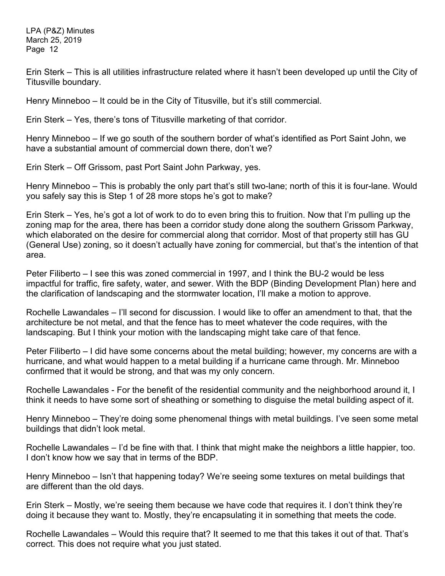Erin Sterk – This is all utilities infrastructure related where it hasn't been developed up until the City of Titusville boundary.

Henry Minneboo – It could be in the City of Titusville, but it's still commercial.

Erin Sterk – Yes, there's tons of Titusville marketing of that corridor.

Henry Minneboo – If we go south of the southern border of what's identified as Port Saint John, we have a substantial amount of commercial down there, don't we?

Erin Sterk – Off Grissom, past Port Saint John Parkway, yes.

Henry Minneboo – This is probably the only part that's still two-lane; north of this it is four-lane. Would you safely say this is Step 1 of 28 more stops he's got to make?

Erin Sterk – Yes, he's got a lot of work to do to even bring this to fruition. Now that I'm pulling up the zoning map for the area, there has been a corridor study done along the southern Grissom Parkway, which elaborated on the desire for commercial along that corridor. Most of that property still has GU (General Use) zoning, so it doesn't actually have zoning for commercial, but that's the intention of that area.

Peter Filiberto – I see this was zoned commercial in 1997, and I think the BU-2 would be less impactful for traffic, fire safety, water, and sewer. With the BDP (Binding Development Plan) here and the clarification of landscaping and the stormwater location, I'll make a motion to approve.

Rochelle Lawandales – I'll second for discussion. I would like to offer an amendment to that, that the architecture be not metal, and that the fence has to meet whatever the code requires, with the landscaping. But I think your motion with the landscaping might take care of that fence.

Peter Filiberto – I did have some concerns about the metal building; however, my concerns are with a hurricane, and what would happen to a metal building if a hurricane came through. Mr. Minneboo confirmed that it would be strong, and that was my only concern.

Rochelle Lawandales - For the benefit of the residential community and the neighborhood around it, I think it needs to have some sort of sheathing or something to disguise the metal building aspect of it.

Henry Minneboo – They're doing some phenomenal things with metal buildings. I've seen some metal buildings that didn't look metal.

Rochelle Lawandales – I'd be fine with that. I think that might make the neighbors a little happier, too. I don't know how we say that in terms of the BDP.

Henry Minneboo – Isn't that happening today? We're seeing some textures on metal buildings that are different than the old days.

Erin Sterk – Mostly, we're seeing them because we have code that requires it. I don't think they're doing it because they want to. Mostly, they're encapsulating it in something that meets the code.

Rochelle Lawandales – Would this require that? It seemed to me that this takes it out of that. That's correct. This does not require what you just stated.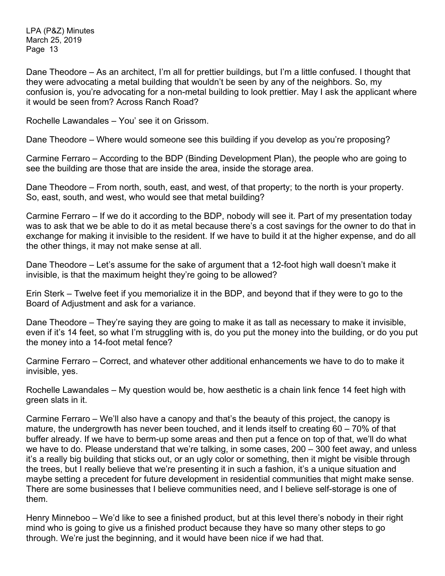Dane Theodore – As an architect, I'm all for prettier buildings, but I'm a little confused. I thought that they were advocating a metal building that wouldn't be seen by any of the neighbors. So, my confusion is, you're advocating for a non-metal building to look prettier. May I ask the applicant where it would be seen from? Across Ranch Road?

Rochelle Lawandales – You' see it on Grissom.

Dane Theodore – Where would someone see this building if you develop as you're proposing?

Carmine Ferraro – According to the BDP (Binding Development Plan), the people who are going to see the building are those that are inside the area, inside the storage area.

Dane Theodore – From north, south, east, and west, of that property; to the north is your property. So, east, south, and west, who would see that metal building?

Carmine Ferraro – If we do it according to the BDP, nobody will see it. Part of my presentation today was to ask that we be able to do it as metal because there's a cost savings for the owner to do that in exchange for making it invisible to the resident. If we have to build it at the higher expense, and do all the other things, it may not make sense at all.

Dane Theodore – Let's assume for the sake of argument that a 12-foot high wall doesn't make it invisible, is that the maximum height they're going to be allowed?

Erin Sterk – Twelve feet if you memorialize it in the BDP, and beyond that if they were to go to the Board of Adjustment and ask for a variance.

Dane Theodore – They're saying they are going to make it as tall as necessary to make it invisible, even if it's 14 feet, so what I'm struggling with is, do you put the money into the building, or do you put the money into a 14-foot metal fence?

Carmine Ferraro – Correct, and whatever other additional enhancements we have to do to make it invisible, yes.

Rochelle Lawandales – My question would be, how aesthetic is a chain link fence 14 feet high with green slats in it.

Carmine Ferraro – We'll also have a canopy and that's the beauty of this project, the canopy is mature, the undergrowth has never been touched, and it lends itself to creating 60 – 70% of that buffer already. If we have to berm-up some areas and then put a fence on top of that, we'll do what we have to do. Please understand that we're talking, in some cases, 200 – 300 feet away, and unless it's a really big building that sticks out, or an ugly color or something, then it might be visible through the trees, but I really believe that we're presenting it in such a fashion, it's a unique situation and maybe setting a precedent for future development in residential communities that might make sense. There are some businesses that I believe communities need, and I believe self-storage is one of them.

Henry Minneboo – We'd like to see a finished product, but at this level there's nobody in their right mind who is going to give us a finished product because they have so many other steps to go through. We're just the beginning, and it would have been nice if we had that.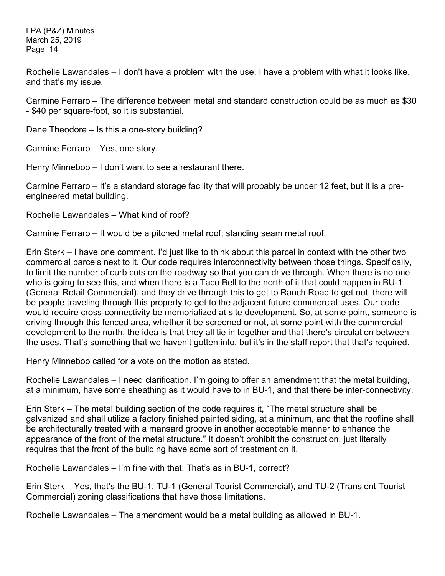Rochelle Lawandales – I don't have a problem with the use, I have a problem with what it looks like, and that's my issue.

Carmine Ferraro – The difference between metal and standard construction could be as much as \$30 - \$40 per square-foot, so it is substantial.

Dane Theodore – Is this a one-story building?

Carmine Ferraro – Yes, one story.

Henry Minneboo – I don't want to see a restaurant there.

Carmine Ferraro – It's a standard storage facility that will probably be under 12 feet, but it is a preengineered metal building.

Rochelle Lawandales – What kind of roof?

Carmine Ferraro – It would be a pitched metal roof; standing seam metal roof.

Erin Sterk – I have one comment. I'd just like to think about this parcel in context with the other two commercial parcels next to it. Our code requires interconnectivity between those things. Specifically, to limit the number of curb cuts on the roadway so that you can drive through. When there is no one who is going to see this, and when there is a Taco Bell to the north of it that could happen in BU-1 (General Retail Commercial), and they drive through this to get to Ranch Road to get out, there will be people traveling through this property to get to the adjacent future commercial uses. Our code would require cross-connectivity be memorialized at site development. So, at some point, someone is driving through this fenced area, whether it be screened or not, at some point with the commercial development to the north, the idea is that they all tie in together and that there's circulation between the uses. That's something that we haven't gotten into, but it's in the staff report that that's required.

Henry Minneboo called for a vote on the motion as stated.

Rochelle Lawandales – I need clarification. I'm going to offer an amendment that the metal building, at a minimum, have some sheathing as it would have to in BU-1, and that there be inter-connectivity.

Erin Sterk – The metal building section of the code requires it, "The metal structure shall be galvanized and shall utilize a factory finished painted siding, at a minimum, and that the roofline shall be architecturally treated with a mansard groove in another acceptable manner to enhance the appearance of the front of the metal structure." It doesn't prohibit the construction, just literally requires that the front of the building have some sort of treatment on it.

Rochelle Lawandales – I'm fine with that. That's as in BU-1, correct?

Erin Sterk – Yes, that's the BU-1, TU-1 (General Tourist Commercial), and TU-2 (Transient Tourist Commercial) zoning classifications that have those limitations.

Rochelle Lawandales – The amendment would be a metal building as allowed in BU-1.